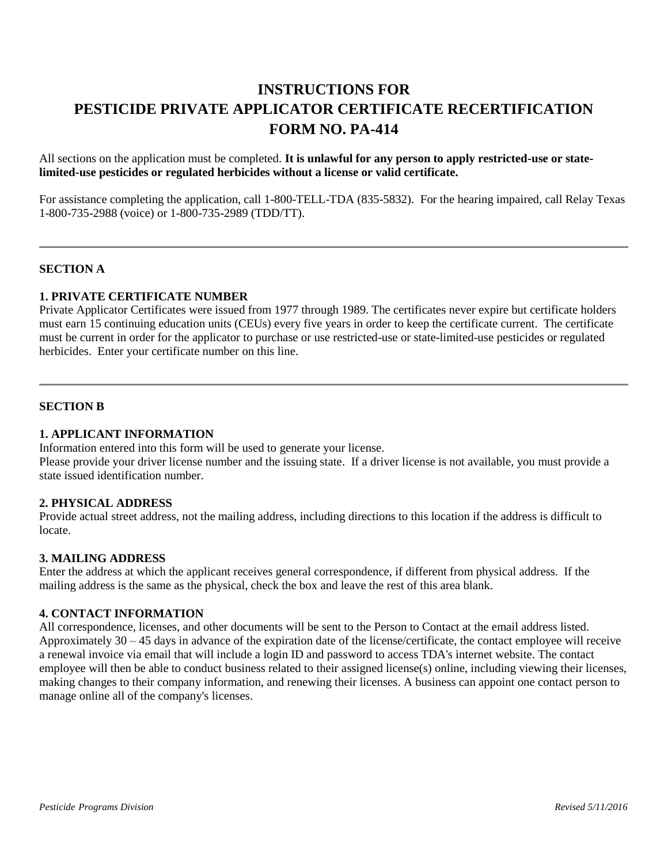# **INSTRUCTIONS FOR PESTICIDE PRIVATE APPLICATOR CERTIFICATE RECERTIFICATION FORM NO. PA-414**

All sections on the application must be completed. **It is unlawful for any person to apply restricted-use or statelimited-use pesticides or regulated herbicides without a license or valid certificate.**

For assistance completing the application, call 1-800-TELL-TDA (835-5832). For the hearing impaired, call Relay Texas 1-800-735-2988 (voice) or 1-800-735-2989 (TDD/TT).

# **SECTION A**

# **1. PRIVATE CERTIFICATE NUMBER**

Private Applicator Certificates were issued from 1977 through 1989. The certificates never expire but certificate holders must earn 15 continuing education units (CEUs) every five years in order to keep the certificate current. The certificate must be current in order for the applicator to purchase or use restricted-use or state-limited-use pesticides or regulated herbicides. Enter your certificate number on this line.

#### **SECTION B**

# **1. APPLICANT INFORMATION**

Information entered into this form will be used to generate your license. Please provide your driver license number and the issuing state. If a driver license is not available, you must provide a state issued identification number.

## **2. PHYSICAL ADDRESS**

Provide actual street address, not the mailing address, including directions to this location if the address is difficult to locate.

## **3. MAILING ADDRESS**

Enter the address at which the applicant receives general correspondence, if different from physical address. If the mailing address is the same as the physical, check the box and leave the rest of this area blank.

## **4. CONTACT INFORMATION**

All correspondence, licenses, and other documents will be sent to the Person to Contact at the email address listed. Approximately 30 – 45 days in advance of the expiration date of the license/certificate, the contact employee will receive a renewal invoice via email that will include a login ID and password to access TDA's internet website. The contact employee will then be able to conduct business related to their assigned license(s) online, including viewing their licenses, making changes to their company information, and renewing their licenses. A business can appoint one contact person to manage online all of the company's licenses.